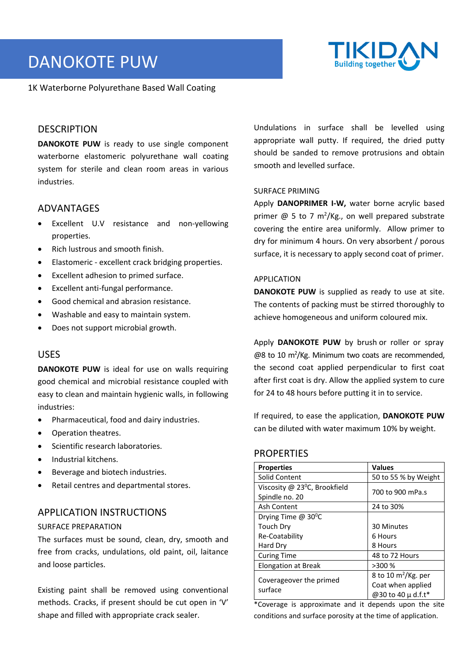# DANOKOTE PUW

#### 1K Waterborne Polyurethane Based Wall Coating



## **DESCRIPTION**

**DANOKOTE PUW** is ready to use single component waterborne elastomeric polyurethane wall coating system for sterile and clean room areas in various industries.

## ADVANTAGES

- Excellent U.V resistance and non‐yellowing properties.
- Rich lustrous and smooth finish.
- Elastomeric ‐ excellent crack bridging properties.
- Excellent adhesion to primed surface.
- Excellent anti‐fungal performance.
- Good chemical and abrasion resistance.
- Washable and easy to maintain system.
- Does not support microbial growth.

### USES

**DANOKOTE PUW** is ideal for use on walls requiring good chemical and microbial resistance coupled with easy to clean and maintain hygienic walls, in following industries:

- Pharmaceutical, food and dairy industries.
- Operation theatres.
- Scientific research laboratories.
- Industrial kitchens.
- Beverage and biotech industries.
- Retail centres and departmental stores.

## APPLICATION INSTRUCTIONS

#### SURFACE PREPARATION

The surfaces must be sound, clean, dry, smooth and free from cracks, undulations, old paint, oil, laitance and loose particles.

Existing paint shall be removed using conventional methods. Cracks, if present should be cut open in 'V' shape and filled with appropriate crack sealer.

 Undulations in surface shall be levelled using appropriate wall putty. If required, the dried putty should be sanded to remove protrusions and obtain smooth and levelled surface.

#### SURFACE PRIMING

Apply **DANOPRIMER I-W,** water borne acrylic based primer  $\omega$  5 to 7 m<sup>2</sup>/Kg., on well prepared substrate covering the entire area uniformly. Allow primer to dry for minimum 4 hours. On very absorbent / porous surface, it is necessary to apply second coat of primer.

#### APPLICATION

**DANOKOTE PUW** is supplied as ready to use at site. The contents of packing must be stirred thoroughly to achieve homogeneous and uniform coloured mix.

Apply **DANOKOTE PUW** by brush or roller or spray @8 to 10 m<sup>2</sup>/Kg. Minimum two coats are recommended, the second coat applied perpendicular to first coat after first coat is dry. Allow the applied system to cure for 24 to 48 hours before putting it in to service.

If required, to ease the application, **DANOKOTE PUW**  can be diluted with water maximum 10% by weight.

## **PROPERTIES**

| <b>Properties</b>               | <b>Values</b>          |
|---------------------------------|------------------------|
| Solid Content                   | 50 to 55 % by Weight   |
| Viscosity @ 23°C, Brookfield    | 700 to 900 mPa.s       |
| Spindle no. 20                  |                        |
| Ash Content                     | 24 to 30%              |
| Drying Time @ 30 <sup>o</sup> C |                        |
| Touch Dry                       | 30 Minutes             |
| Re-Coatability                  | 6 Hours                |
| Hard Dry                        | 8 Hours                |
| <b>Curing Time</b>              | 48 to 72 Hours         |
| <b>Elongation at Break</b>      | >300 %                 |
| Coverageover the primed         | 8 to 10 $m^2$ /Kg. per |
| surface                         | Coat when applied      |
|                                 | @30 to 40 $\mu$ d.f.t* |

\*Coverage is approximate and it depends upon the site conditions and surface porosity at the time of application.